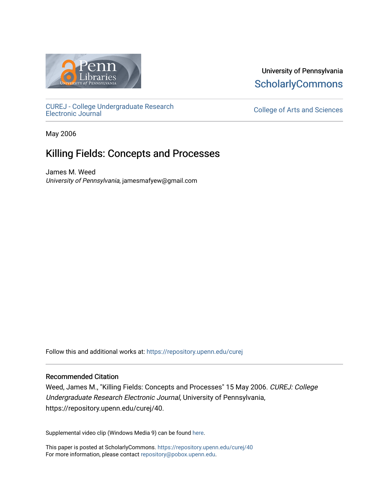

University of Pennsylvania **ScholarlyCommons** 

[CUREJ - College Undergraduate Research](https://repository.upenn.edu/curej) 

College of Arts and Sciences

May 2006

# Killing Fields: Concepts and Processes

James M. Weed University of Pennsylvania, jamesmafyew@gmail.com

Follow this and additional works at: [https://repository.upenn.edu/curej](https://repository.upenn.edu/curej?utm_source=repository.upenn.edu%2Fcurej%2F40&utm_medium=PDF&utm_campaign=PDFCoverPages)

#### Recommended Citation

Weed, James M., "Killing Fields: Concepts and Processes" 15 May 2006. CUREJ: College Undergraduate Research Electronic Journal, University of Pennsylvania, https://repository.upenn.edu/curej/40.

Supplemental video clip (Windows Media 9) can be found [here.](http://weedcore.home.comcast.net/clip.wmv)

This paper is posted at ScholarlyCommons.<https://repository.upenn.edu/curej/40> For more information, please contact [repository@pobox.upenn.edu.](mailto:repository@pobox.upenn.edu)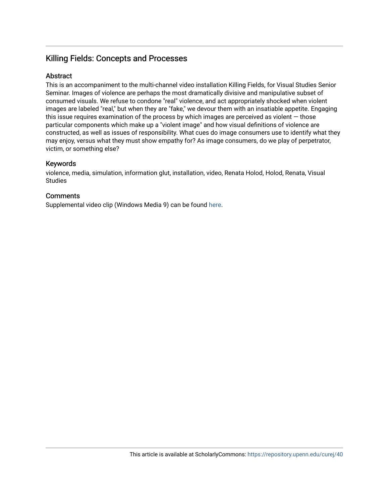# Killing Fields: Concepts and Processes

## **Abstract**

This is an accompaniment to the multi-channel video installation Killing Fields, for Visual Studies Senior Seminar. Images of violence are perhaps the most dramatically divisive and manipulative subset of consumed visuals. We refuse to condone "real" violence, and act appropriately shocked when violent images are labeled "real," but when they are "fake," we devour them with an insatiable appetite. Engaging this issue requires examination of the process by which images are perceived as violent  $-$  those particular components which make up a "violent image" and how visual definitions of violence are constructed, as well as issues of responsibility. What cues do image consumers use to identify what they may enjoy, versus what they must show empathy for? As image consumers, do we play of perpetrator, victim, or something else?

#### Keywords

violence, media, simulation, information glut, installation, video, Renata Holod, Holod, Renata, Visual Studies

# **Comments**

Supplemental video clip (Windows Media 9) can be found [here](http://weedcore.home.comcast.net/clip.wmv).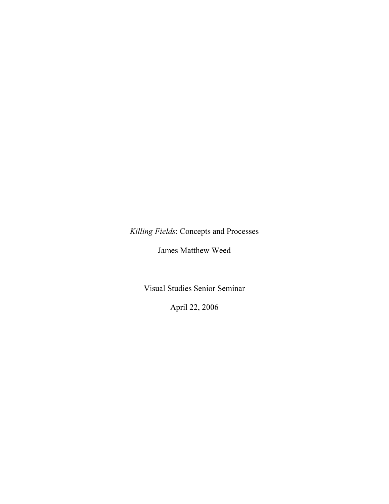*Killing Fields*: Concepts and Processes

James Matthew Weed

Visual Studies Senior Seminar

April 22, 2006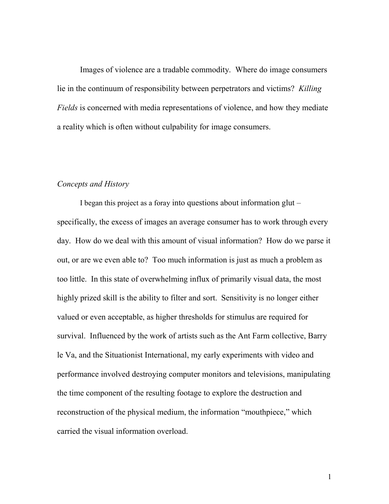Images of violence are a tradable commodity. Where do image consumers lie in the continuum of responsibility between perpetrators and victims? *Killing Fields* is concerned with media representations of violence, and how they mediate a reality which is often without culpability for image consumers.

#### *Concepts and History*

I began this project as a foray into questions about information glut – specifically, the excess of images an average consumer has to work through every day. How do we deal with this amount of visual information? How do we parse it out, or are we even able to? Too much information is just as much a problem as too little. In this state of overwhelming influx of primarily visual data, the most highly prized skill is the ability to filter and sort. Sensitivity is no longer either valued or even acceptable, as higher thresholds for stimulus are required for survival. Influenced by the work of artists such as the Ant Farm collective, Barry le Va, and the Situationist International, my early experiments with video and performance involved destroying computer monitors and televisions, manipulating the time component of the resulting footage to explore the destruction and reconstruction of the physical medium, the information "mouthpiece," which carried the visual information overload.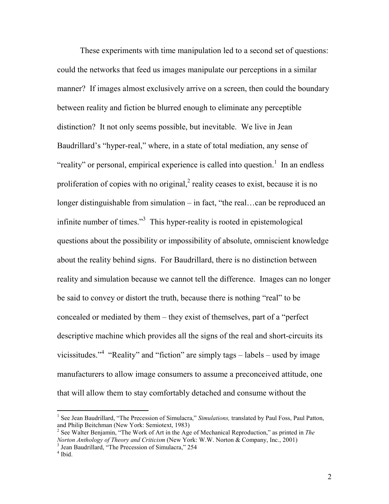These experiments with time manipulation led to a second set of questions: could the networks that feed us images manipulate our perceptions in a similar manner? If images almost exclusively arrive on a screen, then could the boundary between reality and fiction be blurred enough to eliminate any perceptible distinction? It not only seems possible, but inevitable. We live in Jean Baudrillard's "hyper-real," where, in a state of total mediation, any sense of "reality" or personal, empirical experience is called into question.<sup>1</sup> In an endless proliferation of copies with no original, $<sup>2</sup>$  reality ceases to exist, because it is no</sup> longer distinguishable from simulation – in fact, "the real…can be reproduced an infinite number of times."<sup>3</sup> This hyper-reality is rooted in epistemological questions about the possibility or impossibility of absolute, omniscient knowledge about the reality behind signs. For Baudrillard, there is no distinction between reality and simulation because we cannot tell the difference. Images can no longer be said to convey or distort the truth, because there is nothing "real" to be concealed or mediated by them – they exist of themselves, part of a "perfect descriptive machine which provides all the signs of the real and short-circuits its vicissitudes."<sup>4</sup> "Reality" and "fiction" are simply tags – labels – used by image manufacturers to allow image consumers to assume a preconceived attitude, one that will allow them to stay comfortably detached and consume without the

<sup>&</sup>lt;sup>1</sup> See Jean Baudrillard, "The Precession of Simulacra," *Simulations*, translated by Paul Foss, Paul Patton, and Philip Beitchman (New York: Semiotext, 1983)

<sup>2</sup> See Walter Benjamin, "The Work of Art in the Age of Mechanical Reproduction," as printed in *The Norton Anthology of Theory and Criticism* (New York: W.W. Norton & Company, Inc., 2001)<sup>3</sup> Jean Baudrillard, "The Precession of Simulacra," 254

 $<sup>4</sup>$  Ibid.</sup>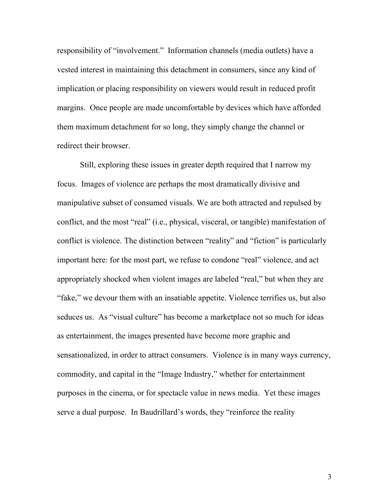responsibility of "involvement." Information channels (media outlets) have a vested interest in maintaining this detachment in consumers, since any kind of implication or placing responsibility on viewers would result in reduced profit margins. Once people are made uncomfortable by devices which have afforded them maximum detachment for so long, they simply change the channel or redirect their browser.

Still, exploring these issues in greater depth required that I narrow my focus. Images of violence are perhaps the most dramatically divisive and manipulative subset of consumed visuals. We are both attracted and repulsed by conflict, and the most "real" (i.e., physical, visceral, or tangible) manifestation of conflict is violence. The distinction between "reality" and "fiction" is particularly important here: for the most part, we refuse to condone "real" violence, and act appropriately shocked when violent images are labeled "real," but when they are "fake," we devour them with an insatiable appetite. Violence terrifies us, but also seduces us. As "visual culture" has become a marketplace not so much for ideas as entertainment, the images presented have become more graphic and sensationalized, in order to attract consumers. Violence is in many ways currency, commodity, and capital in the "Image Industry," whether for entertainment purposes in the cinema, or for spectacle value in news media. Yet these images serve a dual purpose. In Baudrillard's words, they "reinforce the reality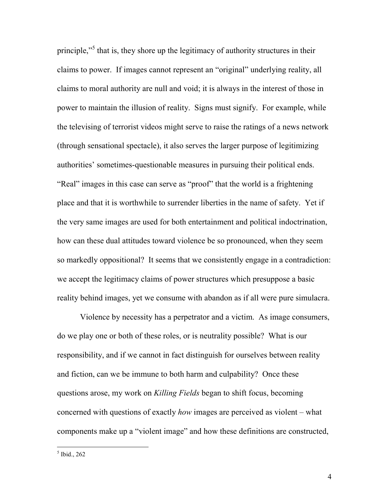principle,"<sup>5</sup> that is, they shore up the legitimacy of authority structures in their claims to power. If images cannot represent an "original" underlying reality, all claims to moral authority are null and void; it is always in the interest of those in power to maintain the illusion of reality. Signs must signify. For example, while the televising of terrorist videos might serve to raise the ratings of a news network (through sensational spectacle), it also serves the larger purpose of legitimizing authorities' sometimes-questionable measures in pursuing their political ends. "Real" images in this case can serve as "proof" that the world is a frightening place and that it is worthwhile to surrender liberties in the name of safety. Yet if the very same images are used for both entertainment and political indoctrination, how can these dual attitudes toward violence be so pronounced, when they seem so markedly oppositional? It seems that we consistently engage in a contradiction: we accept the legitimacy claims of power structures which presuppose a basic reality behind images, yet we consume with abandon as if all were pure simulacra.

Violence by necessity has a perpetrator and a victim. As image consumers, do we play one or both of these roles, or is neutrality possible? What is our responsibility, and if we cannot in fact distinguish for ourselves between reality and fiction, can we be immune to both harm and culpability? Once these questions arose, my work on *Killing Fields* began to shift focus, becoming concerned with questions of exactly *how* images are perceived as violent – what components make up a "violent image" and how these definitions are constructed,

 $<sup>5</sup>$  Ibid., 262</sup>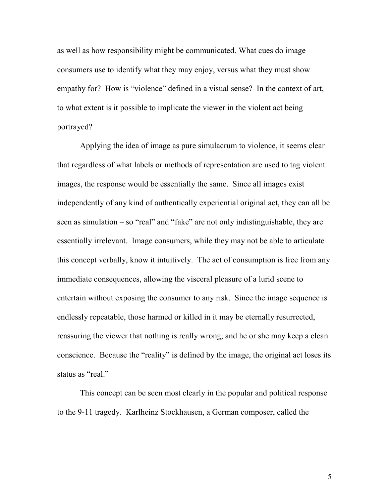as well as how responsibility might be communicated. What cues do image consumers use to identify what they may enjoy, versus what they must show empathy for? How is "violence" defined in a visual sense? In the context of art, to what extent is it possible to implicate the viewer in the violent act being portrayed?

Applying the idea of image as pure simulacrum to violence, it seems clear that regardless of what labels or methods of representation are used to tag violent images, the response would be essentially the same. Since all images exist independently of any kind of authentically experiential original act, they can all be seen as simulation – so "real" and "fake" are not only indistinguishable, they are essentially irrelevant. Image consumers, while they may not be able to articulate this concept verbally, know it intuitively. The act of consumption is free from any immediate consequences, allowing the visceral pleasure of a lurid scene to entertain without exposing the consumer to any risk. Since the image sequence is endlessly repeatable, those harmed or killed in it may be eternally resurrected, reassuring the viewer that nothing is really wrong, and he or she may keep a clean conscience. Because the "reality" is defined by the image, the original act loses its status as "real."

This concept can be seen most clearly in the popular and political response to the 9-11 tragedy. Karlheinz Stockhausen, a German composer, called the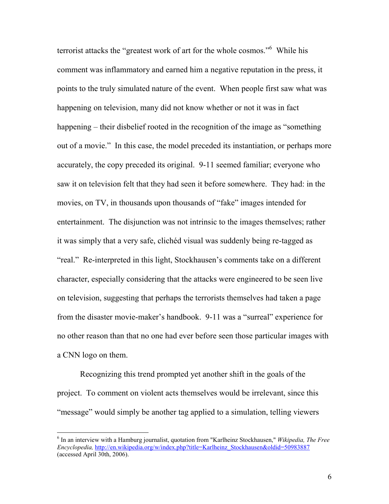terrorist attacks the "greatest work of art for the whole cosmos."<sup>6</sup> While his comment was inflammatory and earned him a negative reputation in the press, it points to the truly simulated nature of the event. When people first saw what was happening on television, many did not know whether or not it was in fact happening – their disbelief rooted in the recognition of the image as "something" out of a movie." In this case, the model preceded its instantiation, or perhaps more accurately, the copy preceded its original. 9-11 seemed familiar; everyone who saw it on television felt that they had seen it before somewhere. They had: in the movies, on TV, in thousands upon thousands of "fake" images intended for entertainment. The disjunction was not intrinsic to the images themselves; rather it was simply that a very safe, clichéd visual was suddenly being re-tagged as "real." Re-interpreted in this light, Stockhausen's comments take on a different character, especially considering that the attacks were engineered to be seen live on television, suggesting that perhaps the terrorists themselves had taken a page from the disaster movie-maker's handbook. 9-11 was a "surreal" experience for no other reason than that no one had ever before seen those particular images with a CNN logo on them.

Recognizing this trend prompted yet another shift in the goals of the project. To comment on violent acts themselves would be irrelevant, since this "message" would simply be another tag applied to a simulation, telling viewers

<sup>6</sup> In an interview with a Hamburg journalist, quotation from "Karlheinz Stockhausen," *Wikipedia, The Free Encyclopedia,* http://en.wikipedia.org/w/index.php?title=Karlheinz\_Stockhausen&oldid=50983887 (accessed April 30th, 2006).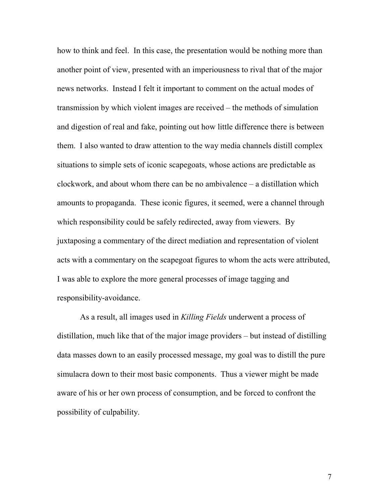how to think and feel. In this case, the presentation would be nothing more than another point of view, presented with an imperiousness to rival that of the major news networks. Instead I felt it important to comment on the actual modes of transmission by which violent images are received – the methods of simulation and digestion of real and fake, pointing out how little difference there is between them. I also wanted to draw attention to the way media channels distill complex situations to simple sets of iconic scapegoats, whose actions are predictable as clockwork, and about whom there can be no ambivalence – a distillation which amounts to propaganda. These iconic figures, it seemed, were a channel through which responsibility could be safely redirected, away from viewers. By juxtaposing a commentary of the direct mediation and representation of violent acts with a commentary on the scapegoat figures to whom the acts were attributed, I was able to explore the more general processes of image tagging and responsibility-avoidance.

As a result, all images used in *Killing Fields* underwent a process of distillation, much like that of the major image providers – but instead of distilling data masses down to an easily processed message, my goal was to distill the pure simulacra down to their most basic components. Thus a viewer might be made aware of his or her own process of consumption, and be forced to confront the possibility of culpability.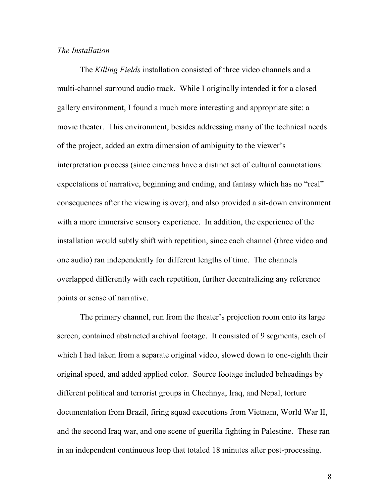# *The Installation*

The *Killing Fields* installation consisted of three video channels and a multi-channel surround audio track. While I originally intended it for a closed gallery environment, I found a much more interesting and appropriate site: a movie theater. This environment, besides addressing many of the technical needs of the project, added an extra dimension of ambiguity to the viewer's interpretation process (since cinemas have a distinct set of cultural connotations: expectations of narrative, beginning and ending, and fantasy which has no "real" consequences after the viewing is over), and also provided a sit-down environment with a more immersive sensory experience. In addition, the experience of the installation would subtly shift with repetition, since each channel (three video and one audio) ran independently for different lengths of time. The channels overlapped differently with each repetition, further decentralizing any reference points or sense of narrative.

The primary channel, run from the theater's projection room onto its large screen, contained abstracted archival footage. It consisted of 9 segments, each of which I had taken from a separate original video, slowed down to one-eighth their original speed, and added applied color. Source footage included beheadings by different political and terrorist groups in Chechnya, Iraq, and Nepal, torture documentation from Brazil, firing squad executions from Vietnam, World War II, and the second Iraq war, and one scene of guerilla fighting in Palestine. These ran in an independent continuous loop that totaled 18 minutes after post-processing.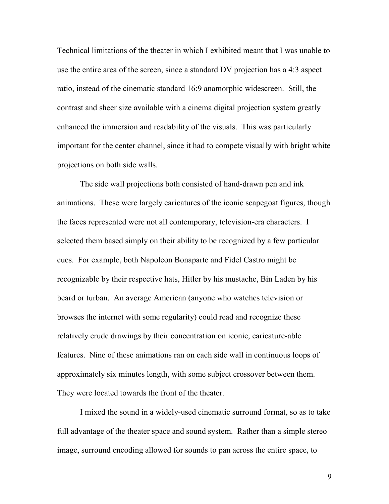Technical limitations of the theater in which I exhibited meant that I was unable to use the entire area of the screen, since a standard DV projection has a 4:3 aspect ratio, instead of the cinematic standard 16:9 anamorphic widescreen. Still, the contrast and sheer size available with a cinema digital projection system greatly enhanced the immersion and readability of the visuals. This was particularly important for the center channel, since it had to compete visually with bright white projections on both side walls.

The side wall projections both consisted of hand-drawn pen and ink animations. These were largely caricatures of the iconic scapegoat figures, though the faces represented were not all contemporary, television-era characters. I selected them based simply on their ability to be recognized by a few particular cues. For example, both Napoleon Bonaparte and Fidel Castro might be recognizable by their respective hats, Hitler by his mustache, Bin Laden by his beard or turban. An average American (anyone who watches television or browses the internet with some regularity) could read and recognize these relatively crude drawings by their concentration on iconic, caricature-able features. Nine of these animations ran on each side wall in continuous loops of approximately six minutes length, with some subject crossover between them. They were located towards the front of the theater.

I mixed the sound in a widely-used cinematic surround format, so as to take full advantage of the theater space and sound system. Rather than a simple stereo image, surround encoding allowed for sounds to pan across the entire space, to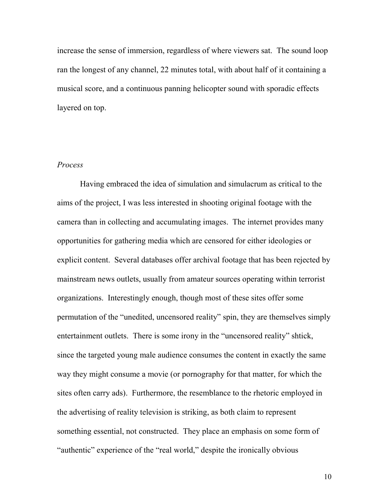increase the sense of immersion, regardless of where viewers sat. The sound loop ran the longest of any channel, 22 minutes total, with about half of it containing a musical score, and a continuous panning helicopter sound with sporadic effects layered on top.

# *Process*

Having embraced the idea of simulation and simulacrum as critical to the aims of the project, I was less interested in shooting original footage with the camera than in collecting and accumulating images. The internet provides many opportunities for gathering media which are censored for either ideologies or explicit content. Several databases offer archival footage that has been rejected by mainstream news outlets, usually from amateur sources operating within terrorist organizations. Interestingly enough, though most of these sites offer some permutation of the "unedited, uncensored reality" spin, they are themselves simply entertainment outlets. There is some irony in the "uncensored reality" shtick, since the targeted young male audience consumes the content in exactly the same way they might consume a movie (or pornography for that matter, for which the sites often carry ads). Furthermore, the resemblance to the rhetoric employed in the advertising of reality television is striking, as both claim to represent something essential, not constructed. They place an emphasis on some form of "authentic" experience of the "real world," despite the ironically obvious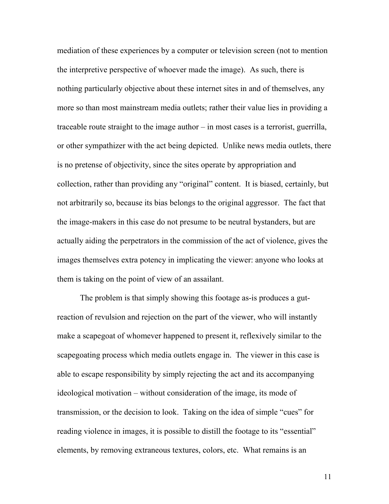mediation of these experiences by a computer or television screen (not to mention the interpretive perspective of whoever made the image). As such, there is nothing particularly objective about these internet sites in and of themselves, any more so than most mainstream media outlets; rather their value lies in providing a traceable route straight to the image author – in most cases is a terrorist, guerrilla, or other sympathizer with the act being depicted. Unlike news media outlets, there is no pretense of objectivity, since the sites operate by appropriation and collection, rather than providing any "original" content. It is biased, certainly, but not arbitrarily so, because its bias belongs to the original aggressor. The fact that the image-makers in this case do not presume to be neutral bystanders, but are actually aiding the perpetrators in the commission of the act of violence, gives the images themselves extra potency in implicating the viewer: anyone who looks at them is taking on the point of view of an assailant.

The problem is that simply showing this footage as-is produces a gutreaction of revulsion and rejection on the part of the viewer, who will instantly make a scapegoat of whomever happened to present it, reflexively similar to the scapegoating process which media outlets engage in. The viewer in this case is able to escape responsibility by simply rejecting the act and its accompanying ideological motivation – without consideration of the image, its mode of transmission, or the decision to look. Taking on the idea of simple "cues" for reading violence in images, it is possible to distill the footage to its "essential" elements, by removing extraneous textures, colors, etc. What remains is an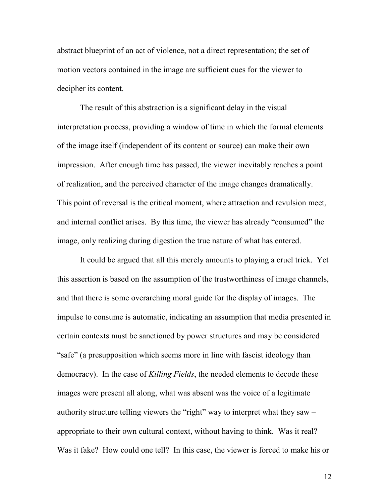abstract blueprint of an act of violence, not a direct representation; the set of motion vectors contained in the image are sufficient cues for the viewer to decipher its content.

The result of this abstraction is a significant delay in the visual interpretation process, providing a window of time in which the formal elements of the image itself (independent of its content or source) can make their own impression. After enough time has passed, the viewer inevitably reaches a point of realization, and the perceived character of the image changes dramatically. This point of reversal is the critical moment, where attraction and revulsion meet, and internal conflict arises. By this time, the viewer has already "consumed" the image, only realizing during digestion the true nature of what has entered.

It could be argued that all this merely amounts to playing a cruel trick. Yet this assertion is based on the assumption of the trustworthiness of image channels, and that there is some overarching moral guide for the display of images. The impulse to consume is automatic, indicating an assumption that media presented in certain contexts must be sanctioned by power structures and may be considered "safe" (a presupposition which seems more in line with fascist ideology than democracy). In the case of *Killing Fields*, the needed elements to decode these images were present all along, what was absent was the voice of a legitimate authority structure telling viewers the "right" way to interpret what they saw – appropriate to their own cultural context, without having to think. Was it real? Was it fake? How could one tell? In this case, the viewer is forced to make his or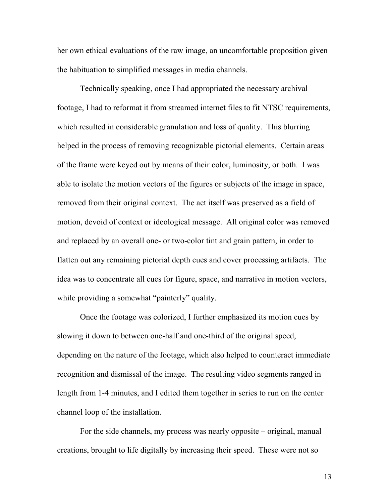her own ethical evaluations of the raw image, an uncomfortable proposition given the habituation to simplified messages in media channels.

Technically speaking, once I had appropriated the necessary archival footage, I had to reformat it from streamed internet files to fit NTSC requirements, which resulted in considerable granulation and loss of quality. This blurring helped in the process of removing recognizable pictorial elements. Certain areas of the frame were keyed out by means of their color, luminosity, or both. I was able to isolate the motion vectors of the figures or subjects of the image in space, removed from their original context. The act itself was preserved as a field of motion, devoid of context or ideological message. All original color was removed and replaced by an overall one- or two-color tint and grain pattern, in order to flatten out any remaining pictorial depth cues and cover processing artifacts. The idea was to concentrate all cues for figure, space, and narrative in motion vectors, while providing a somewhat "painterly" quality.

Once the footage was colorized, I further emphasized its motion cues by slowing it down to between one-half and one-third of the original speed, depending on the nature of the footage, which also helped to counteract immediate recognition and dismissal of the image. The resulting video segments ranged in length from 1-4 minutes, and I edited them together in series to run on the center channel loop of the installation.

 For the side channels, my process was nearly opposite – original, manual creations, brought to life digitally by increasing their speed. These were not so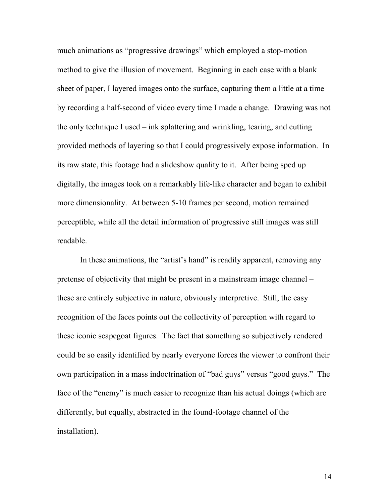much animations as "progressive drawings" which employed a stop-motion method to give the illusion of movement. Beginning in each case with a blank sheet of paper, I layered images onto the surface, capturing them a little at a time by recording a half-second of video every time I made a change. Drawing was not the only technique I used – ink splattering and wrinkling, tearing, and cutting provided methods of layering so that I could progressively expose information. In its raw state, this footage had a slideshow quality to it. After being sped up digitally, the images took on a remarkably life-like character and began to exhibit more dimensionality. At between 5-10 frames per second, motion remained perceptible, while all the detail information of progressive still images was still readable.

 In these animations, the "artist's hand" is readily apparent, removing any pretense of objectivity that might be present in a mainstream image channel – these are entirely subjective in nature, obviously interpretive. Still, the easy recognition of the faces points out the collectivity of perception with regard to these iconic scapegoat figures. The fact that something so subjectively rendered could be so easily identified by nearly everyone forces the viewer to confront their own participation in a mass indoctrination of "bad guys" versus "good guys." The face of the "enemy" is much easier to recognize than his actual doings (which are differently, but equally, abstracted in the found-footage channel of the installation).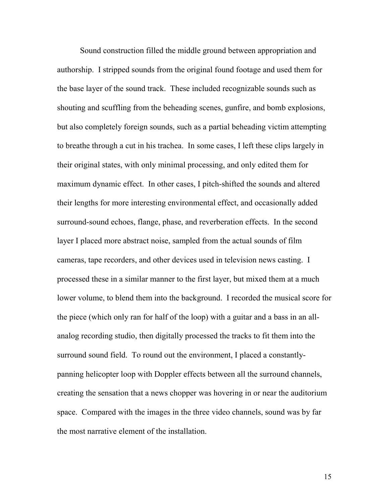Sound construction filled the middle ground between appropriation and authorship. I stripped sounds from the original found footage and used them for the base layer of the sound track. These included recognizable sounds such as shouting and scuffling from the beheading scenes, gunfire, and bomb explosions, but also completely foreign sounds, such as a partial beheading victim attempting to breathe through a cut in his trachea. In some cases, I left these clips largely in their original states, with only minimal processing, and only edited them for maximum dynamic effect. In other cases, I pitch-shifted the sounds and altered their lengths for more interesting environmental effect, and occasionally added surround-sound echoes, flange, phase, and reverberation effects. In the second layer I placed more abstract noise, sampled from the actual sounds of film cameras, tape recorders, and other devices used in television news casting. I processed these in a similar manner to the first layer, but mixed them at a much lower volume, to blend them into the background. I recorded the musical score for the piece (which only ran for half of the loop) with a guitar and a bass in an allanalog recording studio, then digitally processed the tracks to fit them into the surround sound field. To round out the environment, I placed a constantlypanning helicopter loop with Doppler effects between all the surround channels, creating the sensation that a news chopper was hovering in or near the auditorium space. Compared with the images in the three video channels, sound was by far the most narrative element of the installation.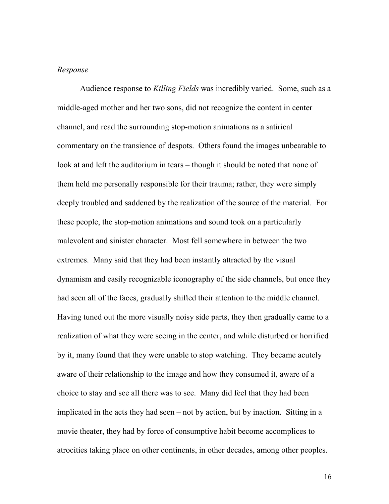## *Response*

Audience response to *Killing Fields* was incredibly varied. Some, such as a middle-aged mother and her two sons, did not recognize the content in center channel, and read the surrounding stop-motion animations as a satirical commentary on the transience of despots. Others found the images unbearable to look at and left the auditorium in tears – though it should be noted that none of them held me personally responsible for their trauma; rather, they were simply deeply troubled and saddened by the realization of the source of the material. For these people, the stop-motion animations and sound took on a particularly malevolent and sinister character. Most fell somewhere in between the two extremes. Many said that they had been instantly attracted by the visual dynamism and easily recognizable iconography of the side channels, but once they had seen all of the faces, gradually shifted their attention to the middle channel. Having tuned out the more visually noisy side parts, they then gradually came to a realization of what they were seeing in the center, and while disturbed or horrified by it, many found that they were unable to stop watching. They became acutely aware of their relationship to the image and how they consumed it, aware of a choice to stay and see all there was to see. Many did feel that they had been implicated in the acts they had seen – not by action, but by inaction. Sitting in a movie theater, they had by force of consumptive habit become accomplices to atrocities taking place on other continents, in other decades, among other peoples.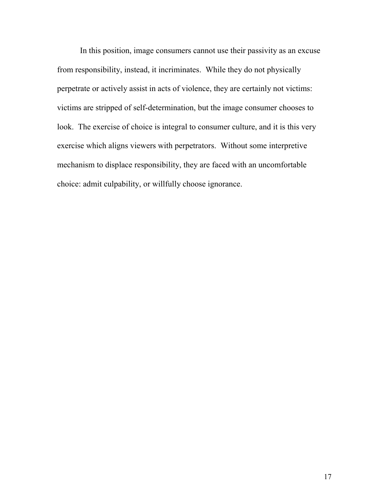In this position, image consumers cannot use their passivity as an excuse from responsibility, instead, it incriminates. While they do not physically perpetrate or actively assist in acts of violence, they are certainly not victims: victims are stripped of self-determination, but the image consumer chooses to look. The exercise of choice is integral to consumer culture, and it is this very exercise which aligns viewers with perpetrators. Without some interpretive mechanism to displace responsibility, they are faced with an uncomfortable choice: admit culpability, or willfully choose ignorance.